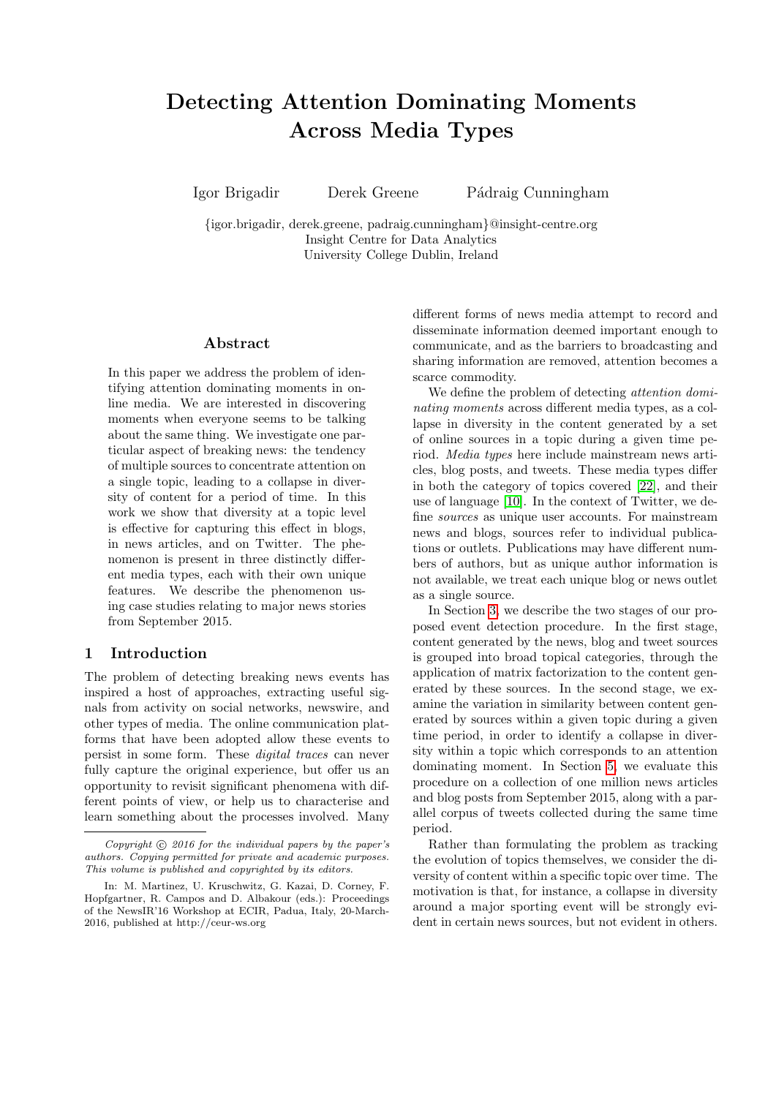# Detecting Attention Dominating Moments Across Media Types

Igor Brigadir Derek Greene Pádraig Cunningham

{igor.brigadir, derek.greene, padraig.cunningham}@insight-centre.org Insight Centre for Data Analytics University College Dublin, Ireland

#### Abstract

In this paper we address the problem of identifying attention dominating moments in online media. We are interested in discovering moments when everyone seems to be talking about the same thing. We investigate one particular aspect of breaking news: the tendency of multiple sources to concentrate attention on a single topic, leading to a collapse in diversity of content for a period of time. In this work we show that diversity at a topic level is effective for capturing this effect in blogs, in news articles, and on Twitter. The phenomenon is present in three distinctly different media types, each with their own unique features. We describe the phenomenon using case studies relating to major news stories from September 2015.

## 1 Introduction

The problem of detecting breaking news events has inspired a host of approaches, extracting useful signals from activity on social networks, newswire, and other types of media. The online communication platforms that have been adopted allow these events to persist in some form. These digital traces can never fully capture the original experience, but offer us an opportunity to revisit significant phenomena with different points of view, or help us to characterise and learn something about the processes involved. Many different forms of news media attempt to record and disseminate information deemed important enough to communicate, and as the barriers to broadcasting and sharing information are removed, attention becomes a scarce commodity.

We define the problem of detecting *attention domi*nating moments across different media types, as a collapse in diversity in the content generated by a set of online sources in a topic during a given time period. Media types here include mainstream news articles, blog posts, and tweets. These media types differ in both the category of topics covered [\[22\]](#page-5-0), and their use of language [\[10\]](#page-5-1). In the context of Twitter, we define sources as unique user accounts. For mainstream news and blogs, sources refer to individual publications or outlets. Publications may have different numbers of authors, but as unique author information is not available, we treat each unique blog or news outlet as a single source.

In Section [3,](#page-1-0) we describe the two stages of our proposed event detection procedure. In the first stage, content generated by the news, blog and tweet sources is grouped into broad topical categories, through the application of matrix factorization to the content generated by these sources. In the second stage, we examine the variation in similarity between content generated by sources within a given topic during a given time period, in order to identify a collapse in diversity within a topic which corresponds to an attention dominating moment. In Section [5,](#page-2-0) we evaluate this procedure on a collection of one million news articles and blog posts from September 2015, along with a parallel corpus of tweets collected during the same time period.

Rather than formulating the problem as tracking the evolution of topics themselves, we consider the diversity of content within a specific topic over time. The motivation is that, for instance, a collapse in diversity around a major sporting event will be strongly evident in certain news sources, but not evident in others.

Copyright  $\odot$  2016 for the individual papers by the paper's authors. Copying permitted for private and academic purposes. This volume is published and copyrighted by its editors.

In: M. Martinez, U. Kruschwitz, G. Kazai, D. Corney, F. Hopfgartner, R. Campos and D. Albakour (eds.): Proceedings of the NewsIR'16 Workshop at ECIR, Padua, Italy, 20-March-2016, published at http://ceur-ws.org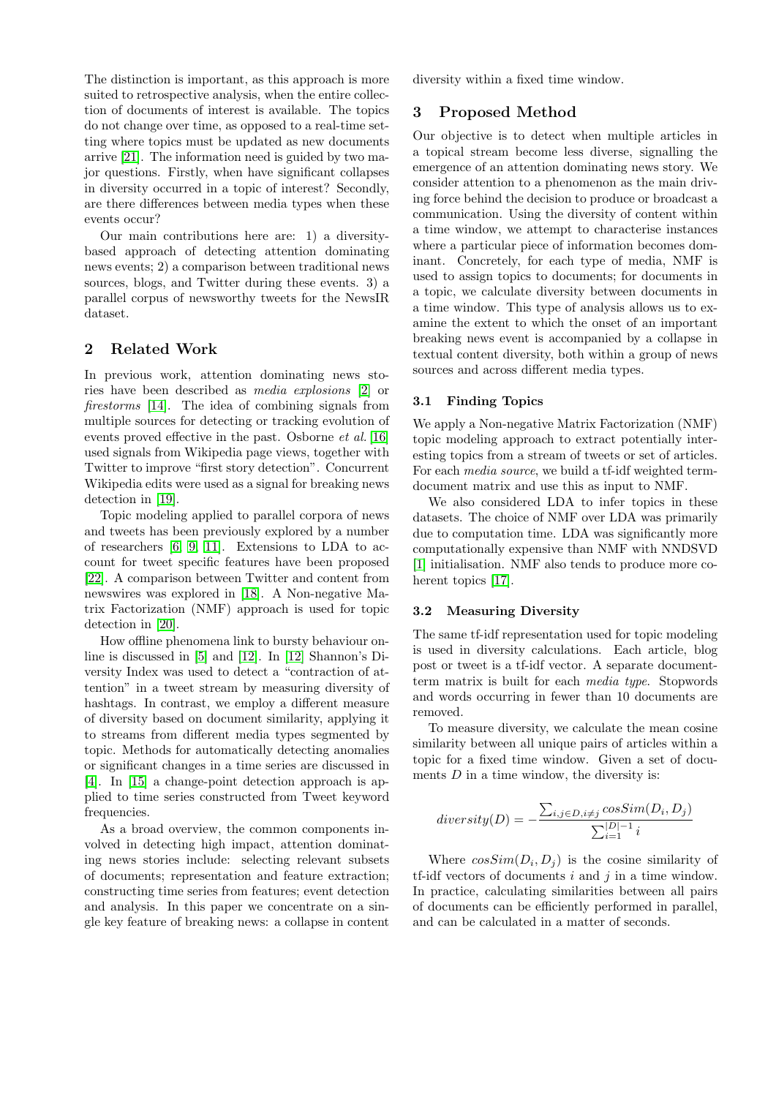The distinction is important, as this approach is more suited to retrospective analysis, when the entire collection of documents of interest is available. The topics do not change over time, as opposed to a real-time setting where topics must be updated as new documents arrive [\[21\]](#page-5-2). The information need is guided by two major questions. Firstly, when have significant collapses in diversity occurred in a topic of interest? Secondly, are there differences between media types when these events occur?

Our main contributions here are: 1) a diversitybased approach of detecting attention dominating news events; 2) a comparison between traditional news sources, blogs, and Twitter during these events. 3) a parallel corpus of newsworthy tweets for the NewsIR dataset.

# 2 Related Work

In previous work, attention dominating news stories have been described as media explosions [\[2\]](#page-5-3) or firestorms [\[14\]](#page-5-4). The idea of combining signals from multiple sources for detecting or tracking evolution of events proved effective in the past. Osborne et al. [\[16\]](#page-5-5) used signals from Wikipedia page views, together with Twitter to improve "first story detection". Concurrent Wikipedia edits were used as a signal for breaking news detection in [\[19\]](#page-5-6).

Topic modeling applied to parallel corpora of news and tweets has been previously explored by a number of researchers [\[6,](#page-5-7) [9,](#page-5-8) [11\]](#page-5-9). Extensions to LDA to account for tweet specific features have been proposed [\[22\]](#page-5-0). A comparison between Twitter and content from newswires was explored in [\[18\]](#page-5-10). A Non-negative Matrix Factorization (NMF) approach is used for topic detection in [\[20\]](#page-5-11).

How offline phenomena link to bursty behaviour online is discussed in [\[5\]](#page-5-12) and [\[12\]](#page-5-13). In [\[12\]](#page-5-13) Shannon's Diversity Index was used to detect a "contraction of attention" in a tweet stream by measuring diversity of hashtags. In contrast, we employ a different measure of diversity based on document similarity, applying it to streams from different media types segmented by topic. Methods for automatically detecting anomalies or significant changes in a time series are discussed in [\[4\]](#page-5-14). In [\[15\]](#page-5-15) a change-point detection approach is applied to time series constructed from Tweet keyword frequencies.

As a broad overview, the common components involved in detecting high impact, attention dominating news stories include: selecting relevant subsets of documents; representation and feature extraction; constructing time series from features; event detection and analysis. In this paper we concentrate on a single key feature of breaking news: a collapse in content

diversity within a fixed time window.

# <span id="page-1-0"></span>3 Proposed Method

Our objective is to detect when multiple articles in a topical stream become less diverse, signalling the emergence of an attention dominating news story. We consider attention to a phenomenon as the main driving force behind the decision to produce or broadcast a communication. Using the diversity of content within a time window, we attempt to characterise instances where a particular piece of information becomes dominant. Concretely, for each type of media, NMF is used to assign topics to documents; for documents in a topic, we calculate diversity between documents in a time window. This type of analysis allows us to examine the extent to which the onset of an important breaking news event is accompanied by a collapse in textual content diversity, both within a group of news sources and across different media types.

#### 3.1 Finding Topics

We apply a Non-negative Matrix Factorization (NMF) topic modeling approach to extract potentially interesting topics from a stream of tweets or set of articles. For each media source, we build a tf-idf weighted termdocument matrix and use this as input to NMF.

We also considered LDA to infer topics in these datasets. The choice of NMF over LDA was primarily due to computation time. LDA was significantly more computationally expensive than NMF with NNDSVD [\[1\]](#page-5-16) initialisation. NMF also tends to produce more coherent topics [\[17\]](#page-5-17).

#### 3.2 Measuring Diversity

The same tf-idf representation used for topic modeling is used in diversity calculations. Each article, blog post or tweet is a tf-idf vector. A separate documentterm matrix is built for each media type. Stopwords and words occurring in fewer than 10 documents are removed.

To measure diversity, we calculate the mean cosine similarity between all unique pairs of articles within a topic for a fixed time window. Given a set of documents  $D$  in a time window, the diversity is:

$$
diversity(D) = -\frac{\sum_{i,j \in D, i \neq j} cosSim(D_i, D_j)}{\sum_{i=1}^{|D|-1} i}
$$

Where  $\cos Sim(D_i, D_j)$  is the cosine similarity of tf-idf vectors of documents  $i$  and  $j$  in a time window. In practice, calculating similarities between all pairs of documents can be efficiently performed in parallel, and can be calculated in a matter of seconds.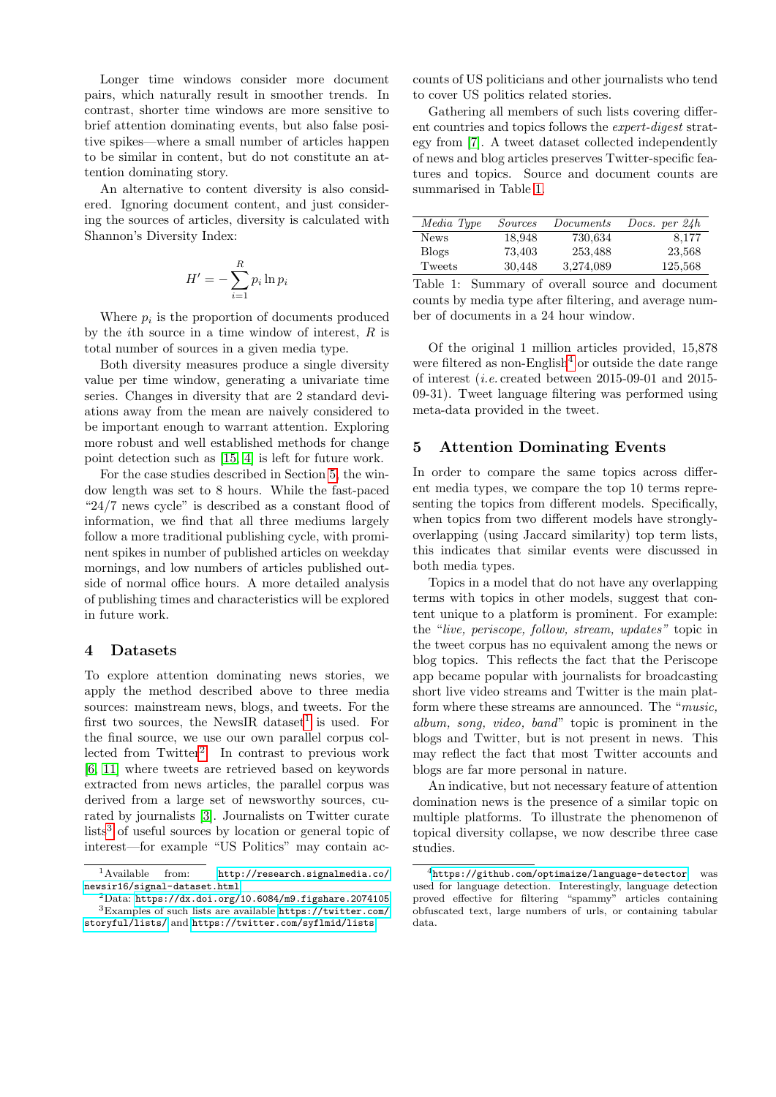Longer time windows consider more document pairs, which naturally result in smoother trends. In contrast, shorter time windows are more sensitive to brief attention dominating events, but also false positive spikes—where a small number of articles happen to be similar in content, but do not constitute an attention dominating story.

An alternative to content diversity is also considered. Ignoring document content, and just considering the sources of articles, diversity is calculated with Shannon's Diversity Index:

$$
H' = -\sum_{i=1}^{R} p_i \ln p_i
$$

Where  $p_i$  is the proportion of documents produced by the *i*th source in a time window of interest,  $R$  is total number of sources in a given media type.

Both diversity measures produce a single diversity value per time window, generating a univariate time series. Changes in diversity that are 2 standard deviations away from the mean are naively considered to be important enough to warrant attention. Exploring more robust and well established methods for change point detection such as [\[15,](#page-5-15) [4\]](#page-5-14) is left for future work.

For the case studies described in Section [5,](#page-2-0) the window length was set to 8 hours. While the fast-paced "24/7 news cycle" is described as a constant flood of information, we find that all three mediums largely follow a more traditional publishing cycle, with prominent spikes in number of published articles on weekday mornings, and low numbers of articles published outside of normal office hours. A more detailed analysis of publishing times and characteristics will be explored in future work.

# 4 Datasets

To explore attention dominating news stories, we apply the method described above to three media sources: mainstream news, blogs, and tweets. For the first two sources, the NewsIR dataset<sup>[1](#page-2-1)</sup> is used. For the final source, we use our own parallel corpus collected from Twitter[2](#page-2-2) . In contrast to previous work [\[6,](#page-5-7) [11\]](#page-5-9) where tweets are retrieved based on keywords extracted from news articles, the parallel corpus was derived from a large set of newsworthy sources, curated by journalists [\[3\]](#page-5-18). Journalists on Twitter curate  $\text{lists}^3$  $\text{lists}^3$  of useful sources by location or general topic of interest—for example "US Politics" may contain ac-

counts of US politicians and other journalists who tend to cover US politics related stories.

Gathering all members of such lists covering different countries and topics follows the expert-digest strategy from [\[7\]](#page-5-19). A tweet dataset collected independently of news and blog articles preserves Twitter-specific features and topics. Source and document counts are summarised in Table [1.](#page-2-4)

| Media Type   | Sources | Documents | Docs. per $24h$ |
|--------------|---------|-----------|-----------------|
| <b>News</b>  | 18,948  | 730,634   | 8,177           |
| <b>Blogs</b> | 73.403  | 253.488   | 23,568          |
| Tweets       | 30.448  | 3,274,089 | 125,568         |

<span id="page-2-4"></span>Table 1: Summary of overall source and document counts by media type after filtering, and average number of documents in a 24 hour window.

Of the original 1 million articles provided, 15,878 were filtered as non-English<sup>[4](#page-2-5)</sup> or outside the date range of interest (i.e. created between 2015-09-01 and 2015- 09-31). Tweet language filtering was performed using meta-data provided in the tweet.

# <span id="page-2-0"></span>5 Attention Dominating Events

In order to compare the same topics across different media types, we compare the top 10 terms representing the topics from different models. Specifically, when topics from two different models have stronglyoverlapping (using Jaccard similarity) top term lists, this indicates that similar events were discussed in both media types.

Topics in a model that do not have any overlapping terms with topics in other models, suggest that content unique to a platform is prominent. For example: the "live, periscope, follow, stream, updates" topic in the tweet corpus has no equivalent among the news or blog topics. This reflects the fact that the Periscope app became popular with journalists for broadcasting short live video streams and Twitter is the main platform where these streams are announced. The "music, album, song, video, band" topic is prominent in the blogs and Twitter, but is not present in news. This may reflect the fact that most Twitter accounts and blogs are far more personal in nature.

An indicative, but not necessary feature of attention domination news is the presence of a similar topic on multiple platforms. To illustrate the phenomenon of topical diversity collapse, we now describe three case studies.

<span id="page-2-1"></span><sup>1</sup>Available from: [http://research.signalmedia.co/](http://research.signalmedia.co/newsir16/signal-dataset.html)

<span id="page-2-3"></span><span id="page-2-2"></span>[newsir16/signal-dataset.html](http://research.signalmedia.co/newsir16/signal-dataset.html) <sup>2</sup>Data: <https://dx.doi.org/10.6084/m9.figshare.2074105>  ${}^{3}$ Examples of such lists are available [https://twitter.com/](https://twitter.com/storyful/lists/) [storyful/lists/](https://twitter.com/storyful/lists/) and <https://twitter.com/syflmid/lists>

<span id="page-2-5"></span> $^{4}$ <https://github.com/optimaize/language-detector> was used for language detection. Interestingly, language detection proved effective for filtering "spammy" articles containing obfuscated text, large numbers of urls, or containing tabular data.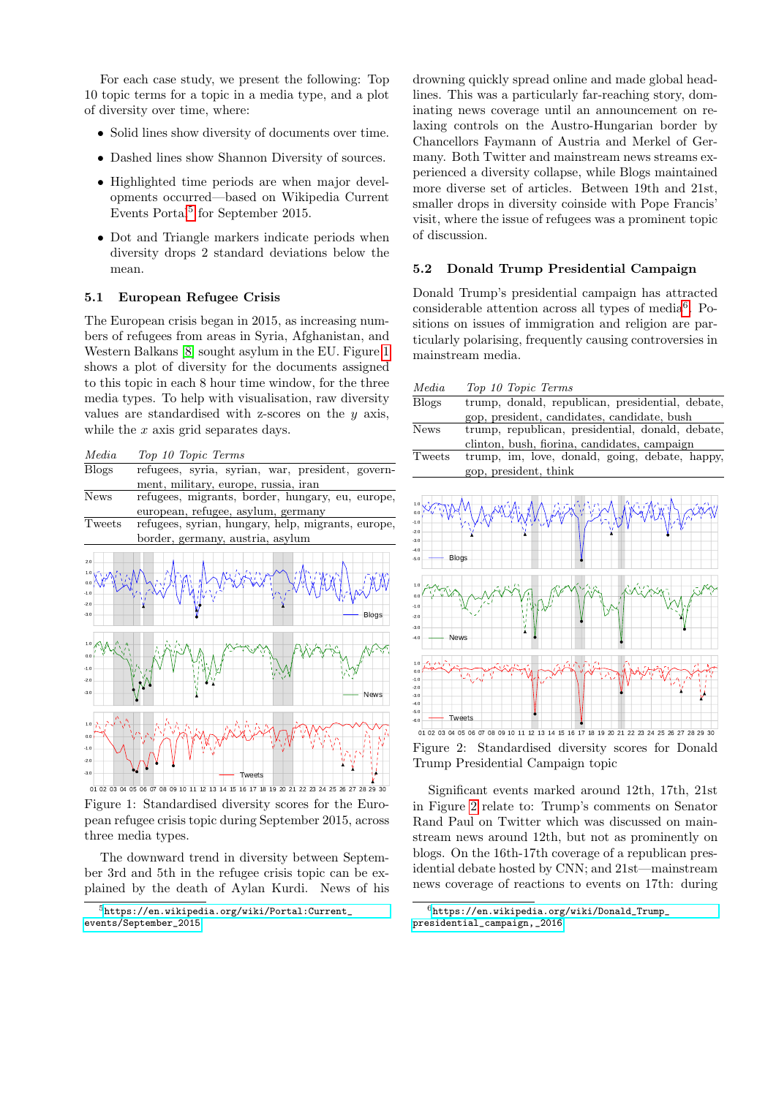For each case study, we present the following: Top 10 topic terms for a topic in a media type, and a plot of diversity over time, where:

- Solid lines show diversity of documents over time.
- Dashed lines show Shannon Diversity of sources.
- Highlighted time periods are when major developments occurred—based on Wikipedia Current Events Portal<sup>[5](#page-3-0)</sup> for September 2015.
- Dot and Triangle markers indicate periods when diversity drops 2 standard deviations below the mean.

#### 5.1 European Refugee Crisis

The European crisis began in 2015, as increasing numbers of refugees from areas in Syria, Afghanistan, and Western Balkans [\[8\]](#page-5-20) sought asylum in the EU. Figure [1](#page-3-1) shows a plot of diversity for the documents assigned to this topic in each 8 hour time window, for the three media types. To help with visualisation, raw diversity values are standardised with z-scores on the  $y$  axis, while the  $x$  axis grid separates days.



<span id="page-3-1"></span>Figure 1: Standardised diversity scores for the European refugee crisis topic during September 2015, across three media types.

The downward trend in diversity between September 3rd and 5th in the refugee crisis topic can be explained by the death of Aylan Kurdi. News of his

drowning quickly spread online and made global headlines. This was a particularly far-reaching story, dominating news coverage until an announcement on relaxing controls on the Austro-Hungarian border by Chancellors Faymann of Austria and Merkel of Germany. Both Twitter and mainstream news streams experienced a diversity collapse, while Blogs maintained more diverse set of articles. Between 19th and 21st, smaller drops in diversity coinside with Pope Francis' visit, where the issue of refugees was a prominent topic of discussion.

#### 5.2 Donald Trump Presidential Campaign

Donald Trump's presidential campaign has attracted considerable attention across all types of media<sup>[6](#page-3-2)</sup>. Positions on issues of immigration and religion are particularly polarising, frequently causing controversies in mainstream media.

| Media                                                                        | Top 10 Topic Terms                               |
|------------------------------------------------------------------------------|--------------------------------------------------|
| <b>Blogs</b>                                                                 | trump, donald, republican, presidential, debate, |
|                                                                              | gop, president, candidates, candidate, bush      |
| <b>News</b>                                                                  | trump, republican, presidential, donald, debate, |
|                                                                              | clinton, bush, fiorina, candidates, campaign     |
| Tweets                                                                       | trump, im, love, donald, going, debate, happy,   |
|                                                                              | gop, president, think                            |
|                                                                              |                                                  |
| 1.0<br>0.0<br>$-1.0$<br>$-2.0$<br>$-3.0$<br>$-4.0$<br><b>Blogs</b><br>$-5.0$ |                                                  |
| 1.0<br>0.0<br>$-1.0$<br>$-2.0$<br>$-3.0$<br><b>News</b><br>$-4.0$            | d                                                |
| 1.0<br>0.0<br>$-1.0$<br>$-2.0$<br>$-3.0$<br>$-4.0$                           |                                                  |

01 02 03 04 05 06 07 08 09 10 11 12 13 14 15 16 17 18 19 20 21 22 23 24 25 26 27 Figure 2: Standardised diversity scores for Donald Trump Presidential Campaign topic

-6.0  $-5.0 +$ 

<span id="page-3-3"></span>Tweets

Significant events marked around 12th, 17th, 21st in Figure [2](#page-3-3) relate to: Trump's comments on Senator Rand Paul on Twitter which was discussed on mainstream news around 12th, but not as prominently on blogs. On the 16th-17th coverage of a republican presidential debate hosted by CNN; and 21st—mainstream news coverage of reactions to events on 17th: during

<span id="page-3-0"></span><sup>5</sup>[https://en.wikipedia.org/wiki/Portal:Current\\_](https://en.wikipedia.org/wiki/Portal:Current_events/September_2015) [events/September\\_2015](https://en.wikipedia.org/wiki/Portal:Current_events/September_2015)

<span id="page-3-2"></span> $6$ [https://en.wikipedia.org/wiki/Donald\\_Trump\\_](https://en.wikipedia.org/wiki/Donald_Trump_presidential_campaign,_2016) [presidential\\_campaign,\\_2016](https://en.wikipedia.org/wiki/Donald_Trump_presidential_campaign,_2016)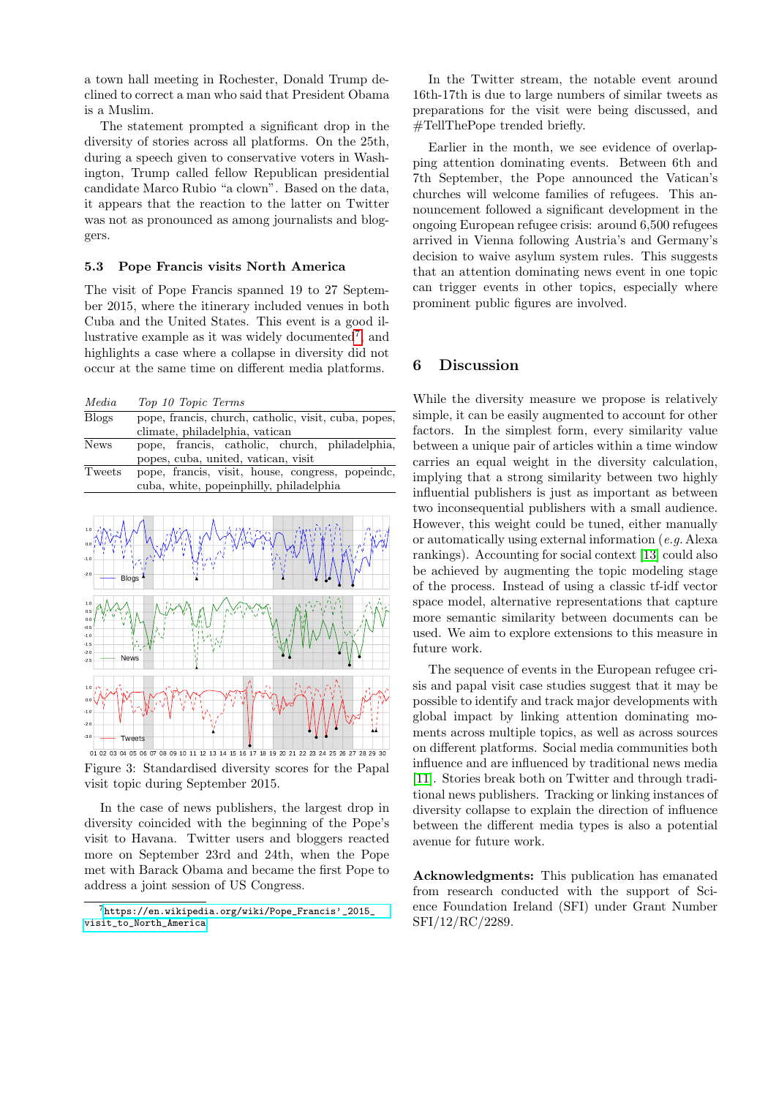a town hall meeting in Rochester, Donald Trump declined to correct a man who said that President Obama is a Muslim.

The statement prompted a significant drop in the diversity of stories across all platforms. On the 25th, during a speech given to conservative voters in Washington, Trump called fellow Republican presidential candidate Marco Rubio "a clown". Based on the data, it appears that the reaction to the latter on Twitter was not as pronounced as among journalists and bloggers.

#### 5.3 Pope Francis visits North America

The visit of Pope Francis spanned 19 to 27 September 2015, where the itinerary included venues in both Cuba and the United States. This event is a good il-lustrative example as it was widely documented<sup>[7](#page-4-0)</sup>, and highlights a case where a collapse in diversity did not occur at the same time on different media platforms.

| Media |  |  |  | Top 10 Topic Terms |
|-------|--|--|--|--------------------|
|-------|--|--|--|--------------------|

| <b>Blogs</b> | pope, francis, church, catholic, visit, cuba, popes, |
|--------------|------------------------------------------------------|
|              | climate, philadelphia, vatican                       |
| <b>News</b>  | pope, francis, catholic, church, philadelphia,       |
|              | popes, cuba, united, vatican, visit                  |
| Tweets       | pope, francis, visit, house, congress, popeinde,     |
|              | cuba, white, popeinphilly, philadelphia              |



Figure 3: Standardised diversity scores for the Papal visit topic during September 2015.

In the case of news publishers, the largest drop in diversity coincided with the beginning of the Pope's visit to Havana. Twitter users and bloggers reacted more on September 23rd and 24th, when the Pope met with Barack Obama and became the first Pope to address a joint session of US Congress.

In the Twitter stream, the notable event around 16th-17th is due to large numbers of similar tweets as preparations for the visit were being discussed, and #TellThePope trended briefly.

Earlier in the month, we see evidence of overlapping attention dominating events. Between 6th and 7th September, the Pope announced the Vatican's churches will welcome families of refugees. This announcement followed a significant development in the ongoing European refugee crisis: around 6,500 refugees arrived in Vienna following Austria's and Germany's decision to waive asylum system rules. This suggests that an attention dominating news event in one topic can trigger events in other topics, especially where prominent public figures are involved.

#### 6 Discussion

While the diversity measure we propose is relatively simple, it can be easily augmented to account for other factors. In the simplest form, every similarity value between a unique pair of articles within a time window carries an equal weight in the diversity calculation, implying that a strong similarity between two highly influential publishers is just as important as between two inconsequential publishers with a small audience. However, this weight could be tuned, either manually or automatically using external information (e.g. Alexa rankings). Accounting for social context [\[13\]](#page-5-21) could also be achieved by augmenting the topic modeling stage of the process. Instead of using a classic tf-idf vector space model, alternative representations that capture more semantic similarity between documents can be used. We aim to explore extensions to this measure in future work.

The sequence of events in the European refugee crisis and papal visit case studies suggest that it may be possible to identify and track major developments with global impact by linking attention dominating moments across multiple topics, as well as across sources on different platforms. Social media communities both influence and are influenced by traditional news media [\[11\]](#page-5-9). Stories break both on Twitter and through traditional news publishers. Tracking or linking instances of diversity collapse to explain the direction of influence between the different media types is also a potential avenue for future work.

Acknowledgments: This publication has emanated from research conducted with the support of Science Foundation Ireland (SFI) under Grant Number SFI/12/RC/2289.

<span id="page-4-0"></span> $7$ [https://en.wikipedia.org/wiki/Pope\\_Francis'\\_2015\\_](https://en.wikipedia.org/wiki/Pope_Francis) [visit\\_to\\_North\\_America](https://en.wikipedia.org/wiki/Pope_Francis)